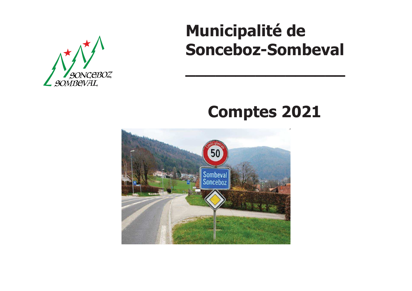

# **Municipalité deSonceboz-Sombeval**

# **Comptes 2021**

**\_\_\_\_\_\_\_\_\_\_\_\_\_\_\_\_**

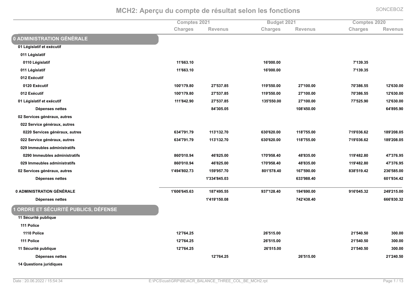|                                    | Comptes 2021   |              | Budget 2021    |            | <b>Comptes 2020</b> |                |
|------------------------------------|----------------|--------------|----------------|------------|---------------------|----------------|
|                                    | <b>Charges</b> | Revenus      | <b>Charges</b> | Revenus    | Charges             | <b>Revenus</b> |
| <b>0 ADMINISTRATION GÉNÉRALE</b>   |                |              |                |            |                     |                |
| 01 Législatif et exécutif          |                |              |                |            |                     |                |
| 011 Législatif                     |                |              |                |            |                     |                |
| 0110 Législatif                    | 11'663.10      |              | 16'000.00      |            | 7'139.35            |                |
| 011 Législatif                     | 11'663.10      |              | 16'000.00      |            | 7'139.35            |                |
| 012 Exécutif                       |                |              |                |            |                     |                |
| 0120 Exécutif                      | 100'179.80     | 27'537.85    | 119'550.00     | 27'100.00  | 70'386.55           | 12'630.00      |
| 012 Exécutif                       | 100'179.80     | 27'537.85    | 119'550.00     | 27'100.00  | 70'386.55           | 12'630.00      |
| 01 Législatif et exécutif          | 111'842.90     | 27'537.85    | 135'550.00     | 27'100.00  | 77'525.90           | 12'630.00      |
| Dépenses nettes                    |                | 84'305.05    |                | 108'450.00 |                     | 64'895.90      |
| 02 Services généraux, autres       |                |              |                |            |                     |                |
| 022 Service généraux, autres       |                |              |                |            |                     |                |
| 0220 Services généraux, autres     | 634'791.79     | 113'132.70   | 630'620.00     | 118'755.00 | 719'036.62          | 189'208.05     |
| 022 Service généraux, autres       | 634'791.79     | 113'132.70   | 630'620.00     | 118'755.00 | 719'036.62          | 189'208.05     |
| 029 Immeubles administratifs       |                |              |                |            |                     |                |
| 0290 Immeubles administratifs      | 860'010.94     | 46'825.00    | 170'958.40     | 48'835.00  | 119'482.80          | 47'376.95      |
| 029 Immeubles administratifs       | 860'010.94     | 46'825.00    | 170'958.40     | 48'835.00  | 119'482.80          | 47'376.95      |
| 02 Services généraux, autres       | 1'494'802.73   | 159'957.70   | 801'578.40     | 167'590.00 | 838'519.42          | 236'585.00     |
| Dépenses nettes                    |                | 1'334'845.03 |                | 633'988.40 |                     | 601'934.42     |
| 0 ADMINISTRATION GÉNÉRALE          | 1'606'645.63   | 187'495.55   | 937'128.40     | 194'690.00 | 916'045.32          | 249'215.00     |
| Dépenses nettes                    |                | 1'419'150.08 |                | 742'438.40 |                     | 666'830.32     |
| ORDRE ET SÉCURITÉ PUBLICS, DÉFENSE |                |              |                |            |                     |                |
| 11 Sécurité publique               |                |              |                |            |                     |                |
| 111 Police                         |                |              |                |            |                     |                |
| 1110 Police                        | 12'764.25      |              | 26'515.00      |            | 21'540.50           | 300.00         |
| 111 Police                         | 12'764.25      |              | 26'515.00      |            | 21'540.50           | 300.00         |
| 11 Sécurité publique               | 12'764.25      |              | 26'515.00      |            | 21'540.50           | 300.00         |
| Dépenses nettes                    |                | 12'764.25    |                | 26'515.00  |                     | 21'240.50      |
| <b>14 Questions juridiques</b>     |                |              |                |            |                     |                |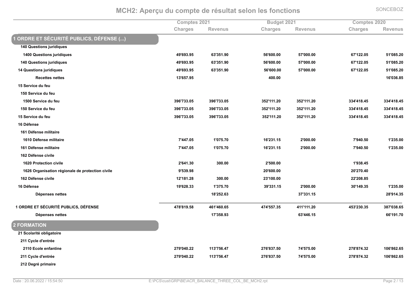**Comptes 2021 8udget 2021 Comptes 2020**  $Charles$ **k s Exercise Revenus Exercise Charges Revenus Exercise Charges Exercise Revenus** ORDRE ET SÉCURITÉ PUBLICS, DÉFENSE (...) **140 Questions juridiques 1400 Questions juridiques %ROJKOLMOP %KLJLP;MO: %PKJK::M:: %PNJ:::M:: %KNJ;##M:P %P;J:QPM#: 140 Questions juridiques %ROJKOLMOP %KLJLP;MO: %PKJK::M:: %PNJ:::M:: %KNJ;##M:P %P;J:QPM#: 14 Questions juridiques %ROJKOLMOP %KLJLP;MO: %PKJK::M:: %PNJ:::M:: %KNJ;##M:P %P;J:QPM#:**  $Rec$ <sub>d</sub>  $n$ <sub>dtes</sub> research 20036.85 to the set of the set of the set of the set of the set of the set of the set of the set of the set of the set of the set of the set of the set of the set of the set of the set of the set of the set of the 15 Service du feu **150 Service du feu 1500 Service du feu %LOKJNLLM:P %LOKJNLLM:P %LP#J;;;M#: %LP#J;;;M#: %LLRJR;QMRP %LLRJR;QMRP** 150 Service du feu **%LOKJNLLM:P %LOKJNLLM:P %LP#J;;;M#: %LP#J;;;M#: %LLRJR;QMRP %LLRJR;QMRP 15 Service du feu %LOKJNLLM:P %LOKJNLLM:P %LP#J;;;M#: %LP#J;;;M#: %LLRJR;QMRP %LLRJR;QMRP** 16 Défense **161 Défense militaire 1610 Défense militaire %NJRRNM:P %;J:NPMN: %;KJ#L;M;P %#J:::M:: %NJOR:MP: %;J#LPM:: 161 Défense militaire %NJRRNM:P %;J:NPMN: %;KJ#L;M;P %#J:::M:: %NJOR:MP: %;J#LPM:: 162 Défense civile 1620 Protection civile 8**  $\frac{2}{641.30}$   $\frac{300.00}{2500.00}$   $\frac{2}{500.00}$   $\frac{1938.45}{2500.00}$ **1626 Organisation régionale de protection civile %OJPLOMOQ %#:JK::M:: %#:J#N:MR: 162 Défense civile %;#J;Q;M#Q %L::M:: %#LJ;::M:: %##J#:QMQP** 16 Défense e 19'628.33 1'375.70 39'331.15 2'000.00 30'149.35 1'235.00 **Dépenses nettes ;QJ#P#MKL LNJLL;M;P #QJO;RMLP 1 ORDRE ET SÉCURITÉ PUBLICS, DÉFENSE**  $\mathsf{R} = \mathsf{R} = \mathsf{R} = \mathsf{R} = \mathsf{R} = \mathsf{R} = \mathsf{R} = \mathsf{R} = \mathsf{R} = \mathsf{R} = \mathsf{R} = \mathsf{R} = \mathsf{R} = \mathsf{R} = \mathsf{R} = \mathsf{R} = \mathsf{R} = \mathsf{R} = \mathsf{R} = \mathsf{R} = \mathsf{R} = \mathsf{R} = \mathsf{R} = \mathsf{R} = \mathsf{R} = \mathsf{R} = \mathsf{R} = \mathsf{R} = \mathsf{R} = \mathsf{R} = \mathsf{R} = \mathsf{$ **Dépenses nettes ;NJLPQMOL KLJRRKM;P KKJ;O;MN: 2 FORMATION 21 Scolarité obligatoire** 211 Cycle d'entrée

**2110 Ecole enfantine %#NOJ:R:M## %;;LJNPKMRN %#NKJQLNMP: %NRJPNPM:: %#NQJQNRML# %;:KJQK#MKP** 211 Cycle d'entrée **%#NOJ:R:M## %;;LJNPKMRN %#NKJQLNMP: %NRJPNPM:: %#NQJQNRML# %;:KJQK#MKP 212 Degré primaire**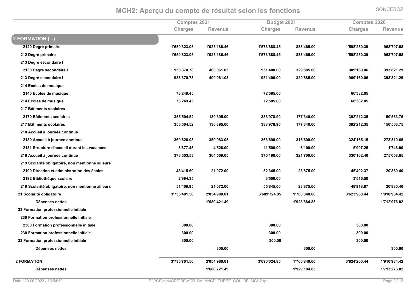|                                                   | Comptes 2021   |                | Budget 2021    |                | <b>Comptes 2020</b> |                |
|---------------------------------------------------|----------------|----------------|----------------|----------------|---------------------|----------------|
|                                                   | <b>Charges</b> | <b>Revenus</b> | <b>Charges</b> | <b>Revenus</b> | Charges             | <b>Revenus</b> |
| $\mathbf 2$ FORMATION ()                          |                |                |                |                |                     |                |
| 2120 Degré primaire                               | 1'659'323.05   | 1'025'186.46   | 1'573'888.45   | 833'465.00     | 1'598'250.39        | 963'797.68     |
| 212 Degré primaire                                | 1'659'323.05   | 1'025'186.46   | 1'573'888.45   | 833'465.00     | 1'598'250.39        | 963'797.68     |
| 213 Degré secondaire l                            |                |                |                |                |                     |                |
| 2130 Degré secondaire l                           | 938'370.78     | 400'061.03     | 951'400.00     | 329'885.00     | 909'160.06          | 393'821.29     |
| 213 Degré secondaire l                            | 938'370.78     | 400'061.03     | 951'400.00     | 329'885.00     | 909'160.06          | 393'821.29     |
| 214 Ecoles de musique                             |                |                |                |                |                     |                |
| 2140 Ecoles de musique                            | 73'249.45      |                | 72'585.00      |                | 66'382.05           |                |
| 214 Ecoles de musique                             | 73'249.45      |                | 72'585.00      |                | 66'382.05           |                |
| 217 Bâtiments scolaires                           |                |                |                |                |                     |                |
| 2170 Bâtiments scolaires                          | 355'504.52     | 130'395.00     | 383'978.90     | 177'340.00     | 392'212.35          | 150'563.75     |
| 217 Bâtiments scolaires                           | 355'504.52     | 130'395.00     | 383'978.90     | 177'340.00     | 392'212.35          | 150'563.75     |
| 218 Accueil à journée continue                    |                |                |                |                |                     |                |
| 2180 Accueil à journée continue                   | 369'626.08     | 359'983.05     | 363'690.00     | 315'600.00     | 324'165.15          | 273'310.65     |
| 2181 Structure d'accueil durant les vacances      | 8'877.45       | 4'526.00       | 11'500.00      | 6'100.00       | 5'997.25            | 1'748.00       |
| 218 Accueil à journée continue                    | 378'503.53     | 364'509.05     | 375'190.00     | 321'700.00     | 330'162.40          | 275'058.65     |
| 219 Scolarité obligatoire, non mentionné ailleurs |                |                |                |                |                     |                |
| 2190 Direction et administration des écoles       | 48'415.60      | 21'072.00      | 52'345.00      | 23'875.00      | 45'402.37           | 20'880.40      |
| 2192 Bibliothèque scolaire                        | 2'994.35       |                | 3'500.00       |                | 3'516.50            |                |
| 219 Scolarité obligatoire, non mentionné ailleurs | 51'409.95      | 21'072.00      | 55'845.00      | 23'875.00      | 48'918.87           | 20'880.40      |
| 21 Scolarité obligatoire                          | 3'735'401.50   | 2'054'980.01   | 3'689'724.85   | 1'760'840.00   | 3'623'960.44        | 1'910'984.42   |
| Dépenses nettes                                   |                | 1'680'421.49   |                | 1'928'884.85   |                     | 1'712'976.02   |
| 23 Formation professionnelle initiale             |                |                |                |                |                     |                |
| 230 Formation professionnelle initiale            |                |                |                |                |                     |                |
| 2300 Formation professionnelle initiale           | 300.00         |                | 300.00         |                | 300.00              |                |
| 230 Formation professionnelle initiale            | 300.00         |                | 300.00         |                | 300.00              |                |
| 23 Formation professionnelle initiale             | 300.00         |                | 300.00         |                | 300.00              |                |
| Dépenses nettes                                   |                | 300.00         |                | 300.00         |                     | 300.00         |
| <b>2 FORMATION</b>                                | 3'735'701.50   | 2'054'980.01   | 3'690'024.85   | 1'760'840.00   | 3'624'260.44        | 1'910'984.42   |
| Dépenses nettes                                   |                | 1'680'721.49   |                | 1'929'184.85   |                     | 1'713'276.02   |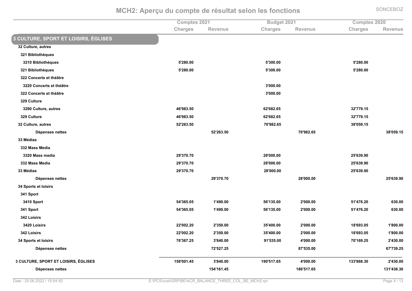**Comptes 2021** Term of the state of the state of the state of the state of the state of the state of the state of the state of the state of the state of the state of the state of the state of the state of the state of the state of the st  $Charles$ **k s Exercise Revenus Exercise Charges Revenus Exercise Charges Exercise Revenus S CULTURE, SPORT ET LOISIRS, ÉGLISES 32 Culture, autres 321 Bibliothèques 3210 Bibliothèques**  $\frac{1}{280.00}$  5<sup>'280.00</sup> 5<sup>'280.00</sup> 5'280.00 5'280.00 5'280.00 **321 Bibliothèques**  $\frac{1}{280.00}$  5<sup>'280.00</sup> 5<sup>'280.00</sup> 5'280.00 5'280.00 5'280.00 5'280.00 5'280.00 **222 Concerts et théâtre 3220 Concerts et théâtre %LJ:::M:: 222 Concerts et théâtre %LJ:::M:: 329 Culture 3290 Culture, autres %RKJOQLMP: %K#JKQ#MKP %L#JNNOM;P 29 Culture 8** & 81.50 & 82° & 82° & 82° & 82° & 82° & 82° & 82° & 82° & 82° & 82° & 82° & 82° & 82° & 82° & 92° & 92° & 92° & 92° & 92° & 92° & 92° & 92° & 92° & 92° & 92° & 92° & 92° & 92° & 92° & 92° & 92° & 92° & 92° & 92° & 92° **32 Culture, autres %P#J#KLMP: %N:JOQ#MKP %LQJ:POM;P** Dépenses nettes **Phono Beam of the Second Second Second Second Second Second Second Second Second Second Second Second Second Second Second Second Second Second Second Second Second Second Second Second Second Second Second Second Second** 33 Médias **332 Mass Media 3320 Mass media**  $\frac{29'370.70}{29'370.70}$  25'639.90 **25'639.90 332 Mass Media %#OJLN:MN: %#QJ:::M:: %#PJKLOMO: 33 Médias**  $\texttt{29'370.70} \quad \texttt{28'000.00} \quad \texttt{28'000.00} \quad \texttt{25'639.90}$ Dépenses nettes  $\texttt{29'370.70} \qquad \qquad \texttt{28'000.00} \qquad \qquad \texttt{29'370.70} \qquad \qquad \texttt{28'000.00} \qquad \qquad \texttt{25'639.90}$ **34 Sports et loisirs 341 Sport 3410 Sport %PRJLKPM:P %;JRO:M:: %PKJ;LPM:: %#J:::M:: %P;JRNKM#: %KL:M:: 341 Sport**  $\textbf{F365.05}$   $\textbf{F4'365.05}$   $\textbf{F54'365.05}$   $\textbf{F6'135.00}$   $\textbf{F6'135.00}$   $\textbf{F6'135.00}$   $\textbf{F6'135.00}$   $\textbf{F6'135.00}$ **242** Loisirs **2420** Loisirs **%##J::#M#: %#JLP:M:: %LPJR::M:: %#J:::M:: %;QJKOLM:P %;JQ::M:: 342 Loisirs %##J::#M#: %#JLP:M:: %LPJR::M:: %#J:::M:: %;QJKOLM:P %;JQ::M:: 34 Sports et loisirs**  $\mathbf{X} = \begin{bmatrix} 2.5 & 3.67 & 2.5 \\ 0.00 & 0.37 & 0.5 \\ 0.00 & 0.37 & 0.5 \end{bmatrix}$  **%**  $\mathbf{X} = \begin{bmatrix} 2.43 & 0.60 \\ 0.00 & 0.50 \\ 0.00 & 0.50 \end{bmatrix}$  ,  $\mathbf{X} = \begin{bmatrix} 2.43 & 0.60 \\ 0.00 & 0.50 \\ 0.00 & 0.50 \end{bmatrix}$ 

**3 CULTURE, SPORT ET LOISIRS, ÉGLISES %;PQJ::;MRP %LJQR:M:: %;O:JP;NMKP %RJ:::M:: %;LLJQKQML: %#JRL:M::**

**Dépenses nettes** 

**Dépenses nettes** 

Date: 20.06.2022 / 15:54:50

**N#JP#NM#P QNJPLPM:: KNJNLOM#P**

**;** s 154'161.45 186'517.65 131'438.30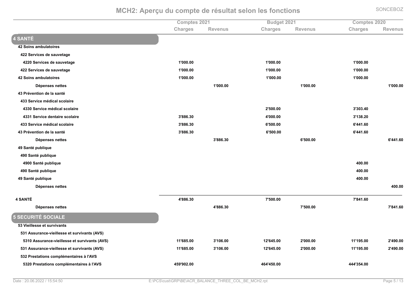|                                               | Comptes 2021   |                | Budget 2021    |          | <b>Comptes 2020</b> |                |
|-----------------------------------------------|----------------|----------------|----------------|----------|---------------------|----------------|
|                                               | <b>Charges</b> | <b>Revenus</b> | <b>Charges</b> | Revenus  | <b>Charges</b>      | <b>Revenus</b> |
| 4 SANTÉ                                       |                |                |                |          |                     |                |
| 42 Soins ambulatoires                         |                |                |                |          |                     |                |
| 422 Services de sauvetage                     |                |                |                |          |                     |                |
| 4220 Services de sauvetage                    | 1'000.00       |                | 1'000.00       |          | 1'000.00            |                |
| 422 Services de sauvetage                     | 1'000.00       |                | 1'000.00       |          | 1'000.00            |                |
| 42 Soins ambulatoires                         | 1'000.00       |                | 1'000.00       |          | 1'000.00            |                |
| Dépenses nettes                               |                | 1'000.00       |                | 1'000.00 |                     | 1'000.00       |
| 43 Prévention de la santé                     |                |                |                |          |                     |                |
| 433 Service médical scolaire                  |                |                |                |          |                     |                |
| 4330 Service médical scolaire                 |                |                | 2'500.00       |          | 3'303.40            |                |
| 4331 Service dentaire scolaire                | 3'886.30       |                | 4'000.00       |          | 3'138.20            |                |
| 433 Service médical scolaire                  | 3'886.30       |                | 6'500.00       |          | 6'441.60            |                |
| 43 Prévention de la santé                     | 3'886.30       |                | 6'500.00       |          | 6'441.60            |                |
| Dépenses nettes                               |                | 3'886.30       |                | 6'500.00 |                     | 6'441.60       |
| 49 Santé publique                             |                |                |                |          |                     |                |
| 490 Santé publique                            |                |                |                |          |                     |                |
| 4900 Santé publique                           |                |                |                |          | 400.00              |                |
| 490 Santé publique                            |                |                |                |          | 400.00              |                |
| 49 Santé publique                             |                |                |                |          | 400.00              |                |
| Dépenses nettes                               |                |                |                |          |                     | 400.00         |
| 4 SANTÉ                                       | 4'886.30       |                | 7'500.00       |          | 7'841.60            |                |
| Dépenses nettes                               |                | 4'886.30       |                | 7'500.00 |                     | 7'841.60       |
| 5 SECURITÉ SOCIALE                            |                |                |                |          |                     |                |
| 53 Vieillesse et survivants                   |                |                |                |          |                     |                |
| 531 Assurance-vieillesse et survivants (AVS)  |                |                |                |          |                     |                |
| 5310 Assurance-vieillesse et survivants (AVS) | 11'685.00      | 3'106.00       | 12'645.00      | 2'000.00 | 11'195.00           | 2'490.00       |
| 531 Assurance-vieillesse et survivants (AVS)  | 11'685.00      | 3'106.00       | 12'645.00      | 2'000.00 | 11'195.00           | 2'490.00       |
| 532 Prestations complémentaires à l'AVS       |                |                |                |          |                     |                |
| 5320 Prestations complémentaires à l'AVS      | 459'902.00     |                | 464'450.00     |          | 444'354.00          |                |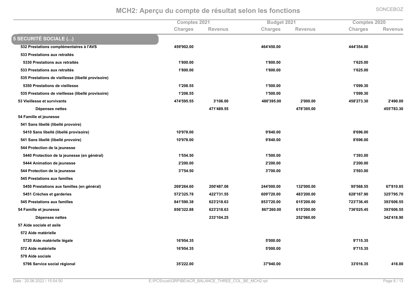Comptes 2021

 $Charles$ **k s Exercise Revenus Exercise Charges Revenus Exercise Charges Exercise Revenus 5 SECURITÉ SOCIALE (...) 532 Prestations complémentaires à l'AVS 8**  $\frac{459'902.00}{459'902.00}$  **464'450.00 120 121 1354.00 533 Prestations aux retraités 5330 Prestations aux retraités %;JQ::M:: %;JQ::M:: %;JK#PM:: 533 Prestations aux retraités %;JQ::M:: %;JQ::M:: %;JK#PM:: 535 Prestations de vieillesse (libellé provisoire) 5350 Prestations de vieillesse %;J#:QMPP %;JP::M:: %;J:OOML:** 535 Prestations de vieillesse (libellé provisoire) **%;J#:QMPP5**  $\frac{1500.00}{1500.00}$  1'099.30 **53 Vieillesse et survivants**  $\mathbf{A} = \mathbf{A} \mathbf{A} \mathbf{B} \mathbf{B} \mathbf{C} \mathbf{C} \mathbf{A} \mathbf{C} \mathbf{D} \mathbf{A} \mathbf{A} \mathbf{C} \mathbf{D} \mathbf{D} \mathbf{A} \mathbf{D} \mathbf{A} \mathbf{D} \mathbf{D} \mathbf{D} \mathbf{D} \mathbf{D} \mathbf{D} \mathbf{D} \mathbf{D} \mathbf{D} \mathbf{D} \mathbf{D} \mathbf{D} \mathbf{D} \mathbf{D} \mathbf{D} \mathbf{D} \mathbf{D} \mathbf{D} \mathbf{$ Dépenses nettes **RN;JRQOMPP RNQJLOPM:: RPPJNQLML: 54 Famille et jeunesse 541 Sans libellé (libellé provoire) 5410 Sans libellé (libellé provisoire)** with the second contract of the second contract of the second contract of the second contract of the second contract of the second contract of the second contract of the second contract of the second contract of the second **8'696.00 8'696.00 8'696.00 541 Sans libellé (libellé provoire)** with the contract of the contract of the contract of the contract of the contract of the contract of the contract of the contract of the contract of the contract of the contract of the contract of the contract of the contr **8'696.00 8'696.00 8'696.00 544 Protection de la jeunesse 5440 Protection de la jeunesse (en général) %;JPPRMP:8**  $\frac{1}{500.00}$  **1'500.00 1'393.00 5444 Animation de jeunesse**  $\texttt{2'200.00} \quad \texttt{2'200.00} \quad \texttt{2'200.00} \quad \texttt{2'200.00}$ **544 Protection de la jeunesse %LJNPRMP: %LJN::M:: %LJPOLM:: 545 Prestations aux familles 5450 Prestations aux familles (en général) %#KOJ#KRMK: %#::JRQNM:Q %#RRJ:::M:: %;L#J:::M:: %OPJPKQMPP %KNJQ;:MQP 5451 Crèches et garderies %PN#JL#PMNQ %R##JNL;MPP %K:OJN#:M:: %RQLJ#::M:: %K#QJ;KNMO: %L#PJNOPMN: 545 Prestations aux familles %QR;JPO:MLQ %K#LJ#;QMKL %QPLJN#:M:: %K;PJ#::M:: %N#LJNLKMRP %LOLJK:KMPP 54 Famille et jeunesse %QPKJL##MQQ %K#LJ#;QMKL %QKNJ#K:M:: %K;PJ#::M:: %NLKJ:#PMRP %LOLJK:KMPP Dépenses nettes**  $233'104.25$  and  $233'104.25$  and  $252'060.00$  and  $252'060.00$  and  $252'060.00$  and  $252'060.00$ **57 Aide sociale et asile 572 Aide matérielle 5720 Aide matérielle légale %;KJOPRMLP %PJ:::M:: %OJN;PMLP 572 Aide matérielle**  $\bf 16'954.35$  **8**  $\bf 16'954.35$  **8**  $\bf 5'000.00$  **8**  $\bf 9'715.35$ **579 Aide sociale 5796 Service social régional 1** 35'222.00 **8**  $\frac{37940.00}{37940.00}$  **8**  $\frac{33016.35}{418.00}$  **418.00** 

**8udget 2021 Comptes 2020**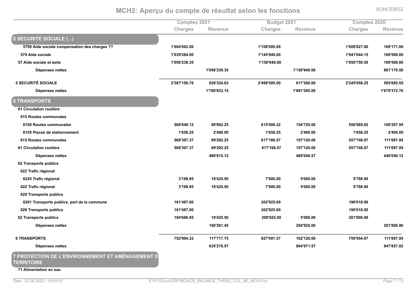|                                               | <b>Comptes 2021</b> |                | Budget 2021  |                | <b>Comptes 2020</b> |                |
|-----------------------------------------------|---------------------|----------------|--------------|----------------|---------------------|----------------|
|                                               | <b>Charges</b>      | <b>Revenus</b> | Charges      | <b>Revenus</b> | Charges             | <b>Revenus</b> |
| 5 SECURITÉ SOCIALE ()                         |                     |                |              |                |                     |                |
| 5799 Aide sociale compensation des charges ?? | 1'004'062.00        |                | 1'108'000.00 |                | 1'008'027.80        | 169'171.00     |
| 579 Aide sociale                              | 1'039'284.00        |                | 1'145'940.00 |                | 1'041'044.15        | 169'589.00     |
| 57 Aide sociale et asile                      | 1'056'238.35        |                | 1'150'940.00 |                | 1'050'759.50        | 169'589.00     |
| Dépenses nettes                               |                     | 1'056'238.35   |              | 1'150'940.00   |                     | 881'170.50     |
| <b>5 SECURITÉ SOCIALE</b>                     | 2'387'156.78        | 626'324.63     | 2'498'595.00 | 617'200.00     | 2'245'058.25        | 565'685.55     |
| Dépenses nettes                               |                     | 1'760'832.15   |              | 1'881'395.00   |                     | 1'679'372.70   |
| <b>6 TRANSPORTS</b>                           |                     |                |              |                |                     |                |
| 61 Circulation routière                       |                     |                |              |                |                     |                |
| 615 Routes communales                         |                     |                |              |                |                     |                |
| 6150 Routes communales                        | 566'649.12          | 96'892.25      | 615'508.32   | 154'720.00     | 556'089.82          | 109'297.95     |
| 6155 Places de stationnement                  | 1'658.25            | 2'400.00       | 1'658.25     | 2'400.00       | 1'658.25            | 2'400.00       |
| 615 Routes communales                         | 568'307.37          | 99'292.25      | 617'166.57   | 157'120.00     | 557'748.07          | 111'697.95     |
| 61 Circulation routière                       | 568'307.37          | 99'292.25      | 617'166.57   | 157'120.00     | 557'748.07          | 111'697.95     |
| Dépenses nettes                               |                     | 469'015.12     |              | 460'046.57     |                     | 446'050.12     |
| 62 Transports publics                         |                     |                |              |                |                     |                |
| 622 Trafic régional                           |                     |                |              |                |                     |                |
| 6220 Trafic régional                          | 3'199.95            | 18'425.50      | 7'000.00     | 5'000.00       | 5'788.90            |                |
| 622 Trafic régional                           | 3'199.95            | 18'425.50      | 7'000.00     | 5'000.00       | 5'788.90            |                |
| 629 Transports publics                        |                     |                |              |                |                     |                |
| 6291 Transports publics, part de la commune   | 181'487.00          |                | 202'925.00   |                | 196'018.00          |                |
| 629 Transports publics                        | 181'487.00          |                | 202'925.00   |                | 196'018.00          |                |
| 62 Transports publics                         | 184'686.95          | 18'425.50      | 209'925.00   | 5'000.00       | 201'806.90          |                |
| Dépenses nettes                               |                     | 166'261.45     |              | 204'925.00     |                     | 201'806.90     |
| <b>6 TRANSPORTS</b>                           | 752'994.32          | 117'717.75     | 827'091.57   | 162'120.00     | 759'554.97          | 111'697.95     |
| Dépenses nettes                               |                     | 635'276.57     |              | 664'971.57     |                     | 647'857.02     |

**TERRITOIRE** 

**71 Alimentation en eau**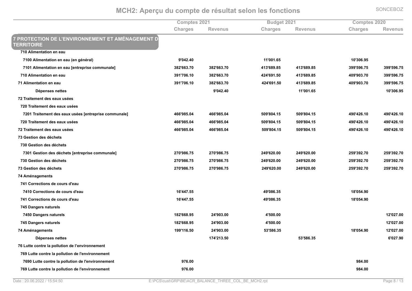Comptes 2021 Term of the state of the state of the state of the state of the state of the state of the state of the state of the state of the state of the state of the state of the state of the state of the state of the state of the st  $Charles$ **k s Exercise Revenus Exercise Charges Revenus Exercise Charges Exercise Revenus T PROTECTION DE L'ENVIRONNEMENT ET AMÉNAGEMENT D' CERRITOIRE 710 Alimentation en eau 7100 Alimentation en eau (en général)**  $9'042.40$ **8**  $\frac{11'001.65}{10'306.95}$  $N$ ://(1) Alimentation en eau [entreprise communale]  $382'663.70$   $382'663.70$   $382'663.70$   $413'689.85$   $413'689.85$   $399'596.75$   $399'596.75$ **710 Alimentation en eau**  $\textbf{391'706.10} \quad \textbf{382'663.70} \quad \textbf{424'691.50} \quad \textbf{413'689.85} \quad \textbf{409'903.70} \quad \textbf{399'596.75}$ **71 Alimentation en eau %LO;JN:KM;: %LQ#JKKLMN: %R#RJKO;MP: %R;LJKQOMQP %R:OJO:LMN: %LOOJPOKMNP Dépenses nettes OJ:R#MR: ;;J::;MKP ;:JL:KMOP 72 Traitement des eaux usées 720 Traitement des eaux usées**  $N=7201$  Traitement des eaux usées [entreprise communale]  $466'985.04$   $466'985.04$   $466'985.04$   $509'804.15$   $509'804.15$   $490'426.10$   $490'426.10$ **720 Traitement des eaux usées %RKKJOQPM:R %RKKJOQPM:R %P:OJQ:RM;P %P:OJQ:RM;P %RO:JR#KM;: %RO:JR#KM;: 72 Traitement des eaux usées**  $\mathbf{A} = \mathbf{A} \mathbf{B} = \mathbf{B} \mathbf{B} = \mathbf{B} \mathbf{B} \mathbf{C} \mathbf{C} \mathbf{D} \mathbf{A}$  and  $\mathbf{A} \mathbf{B} = \mathbf{B} \mathbf{B} \mathbf{C} \mathbf{D} \mathbf{A} \mathbf{D} \mathbf{A} \mathbf{D} \mathbf{A}$  and  $\mathbf{A} \mathbf{B} = \mathbf{B} \mathbf{B} \mathbf{D} \mathbf{A} \mathbf{D} \mathbf{A} \mathbf{D} \mathbf{A}$  and  $\mathbf$ **73 Gestion des déchets 730 Gestion des déchets**  $N=7301$  Gestion des déchets [entreprise communale]  $270'986.75$   $270'986.75$   $249'620.00$   $249'620.00$   $249'620.00$   $259'392.70$   $259'392.70$ **730 Gestion des déchets %#N:JOQKMNP %#N:JOQKMNP %#ROJK#:M:: %#ROJK#:M:: %#POJLO#MN: %#POJLO#MN: 73 Gestion des déchets %#N:JOQKMNP %#N:JOQKMNP %#ROJK#:M:: %#ROJK#:M:: %#POJLO#MN: %#POJLO#MN: 74 Aménagements 741 Corrections de cours d'eau 7410 Corrections de cours d'eau %;KJRRNMPP %ROJ:QKMLP %;QJ:PRMO: 741 Corrections de cours d'eau %;KJRRNMPP %ROJ:QKMLP %;QJ:PRMO: 745 Dangers naturels 7450 Dangers naturels 8**  $\frac{12'027.00}{12'027.00}$ **745 Dangers naturels %;Q#JKKQMOP %#RJO:LM:: %RJP::M:: %;#J:#NM:: 74 Aménagements %;OOJ;;KMP: %#RJO:LM:: %PLJPQKMLP %;QJ:PRMO: %;#J:#NM:: Dépenses nettes ;NRJ#;LMP: PLJPQKMLP KJ:#NMO: 76 Lutte contre la pollution de l'environnement 769 Lutte contre la pollution de l'environnement 7690 Lutte contre la pollution de l'environnement** 976.00 **%OQRM:: 769 Lutte contre la pollution de l'environnement t** 976.00 **%OQRM::**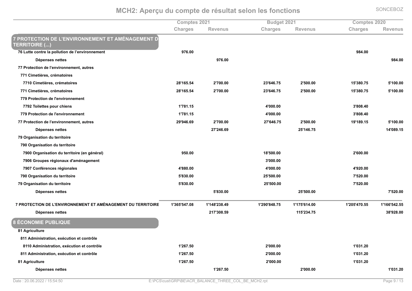Comptes 2021 Term of the state of the state of the state of the state of the Sudget 2021<br> **84:41 Revenus Character Scharacter Scharacter Scharacter Scharacter Scharacter Scharacter Scharacter School**<br> **84:42:42:42 Character Scharacter**  $Charles$ **k s Exercise Revenus Exercise Charges Revenus Exercise Charges Exercise Revenus 7 PROTECTION DE L'ENVIRONNEMENT ET AMÉNAGEMENT D CHANDIRE** (...) **76 Lutte contre la pollution de l'environnement t** 976.00 **%OQRM:: Dépenses nettes ONKM:: OQRM:: 77 Protection de l'environnement, autres 771 Cimetières, crématoires 7710 Cimetières, crématoires %#QJ;KPMPR %#JN::M:: %#LJKRKMNP %#JP::M:: %;PJLQ:MNP %PJ;::M:: 771 Cimetières, crématoires %#QJ;KPMPR %#JN::M:: %#LJKRKMNP %#JP::M:: %;PJLQ:MNP %PJ;::M:: 779 Protection de l'environnement 7792 Toilettes pour chiens %;JNQ;M;P %RJ:::M:: %LJQ:QMR: 779 Protection de l'environnement t** 1781.15  $4'000.00$  3'808.40 **77 Protection de l'environnement, autres %#OJORKMKO %#JN::M:: %#NJKRKMNP %#JP::M:: %;OJ;QOM;P %PJ;::M:: Dépenses nettes #NJ#RKMKO #PJ;RKMNP ;RJ:QOM;P 79 Organisation du territoire 790 Organisation du territoire 7900 Organisation du territoire (en général) b**  $\sim$  0.00 **950.00** 0 **8 18'500.00 18'500.00 18'500.00 7906 Groupes régionaux d'aménagement t** and the contract of the contract of the contract of the contract of the contract of the contract of the contract of the contract of the contract of the contract of the contract of the contract of the contract of the co **7907 Conférences régionales**  $\frac{4'880.00}{4'920.00}$  and  $\frac{4'900.00}{4'900.00}$  and  $\frac{4'900.00}{4'920.00}$ **790 Organisation du territoire %PJQL:M:: %#PJP::M:: %NJP#:M:: 79 Organisation du territoire %PJQL:M:: %#PJP::M:: %NJP#:M:: Dépenses nettes** estand the state of the state of the state of the state of the state of the state of the state of the state of t<br>Physical contract the state of the state of the state of the state of the state of the state of the state of **7 PROTECTION DE L'ENVIRONNEMENT ET AMÉNAGEMENT DU TERRITOIRE %;JLKPJPRNM:Q %;J;RQJ#LQMRO %;J#O:JQRQMNP %;J;NPJK;RM:: %;J#:PJRN:MPP %;J;KKJPR#MPP Dépenses nettes**  $\texttt{x} = \frac{1}{2}$  and  $\texttt{y} = \frac{1}{2}$  and  $\texttt{z} = \frac{1}{2}$  and  $\texttt{z} = \frac{1}{2}$  and  $\texttt{z} = \frac{1}{2}$  and  $\texttt{z} = \frac{1}{2}$  and  $\texttt{z} = \frac{1}{2}$  and  $\texttt{z} = \frac{1}{2}$  and  $\texttt{z} = \frac{1}{2}$  and  $\texttt{z} = \frac{1}{2}$  and  $\texttt{z} = \frac{1}{$ **8 ÉCONOMIE PUBLIQUE 81 Agriculture** 811 Administration, exécution et contrôle 8110 Administration, exécution et contrôle **%;J#KNMP: %#J:::M:: %;J:L;M#:** 811 Administration, exécution et contrôle **%;J#KNMP: %#J:::M:: %;J:L;M#: 81 Agriculture %;J#KNMP: %#J:::M:: %;J:L;M#: Dépenses nettes ;J#KNMP: #J:::M:: ;J:L;M#:**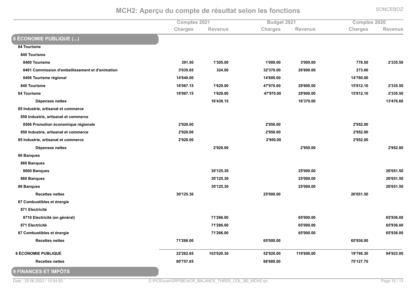|                                                 | Comptes 2021   |                | Budget 2021    |                | <b>Comptes 2020</b> |                |
|-------------------------------------------------|----------------|----------------|----------------|----------------|---------------------|----------------|
|                                                 | <b>Charges</b> | <b>Revenus</b> | <b>Charges</b> | <b>Revenus</b> | <b>Charges</b>      | <b>Revenus</b> |
| 8 ÉCONOMIE PUBLIQUE ()                          |                |                |                |                |                     |                |
| 84 Tourisme                                     |                |                |                |                |                     |                |
| 840 Tourisme                                    |                |                |                |                |                     |                |
| 8400 Tourisme                                   | 391.50         | 1'305.00       | 1'000.00       | 3'000.00       | 778.50              | 2'335.50       |
| 8401 Commission d'embellissement et d'animation | 3'035.65       | 324.00         | 32'370.00      | 26'600.00      | 273.60              |                |
| 8406 Tourisme régional                          | 14'640.00      |                | 14'600.00      |                | 14'760.00           |                |
| 840 Tourisme                                    | 18'067.15      | 1'629.00       | 47'970.00      | 29'600.00      | 15'812.10           | 2'335.50       |
| 84 Tourisme                                     | 18'067.15      | 1'629.00       | 47'970.00      | 29'600.00      | 15'812.10           | 2'335.50       |
| Dépenses nettes                                 |                | 16'438.15      |                | 18'370.00      |                     | 13'476.60      |
| 85 Industrie, artisanat et commerce             |                |                |                |                |                     |                |
| 850 Industrie, artisanat et commerce            |                |                |                |                |                     |                |
| 8506 Promotion économique régionale             | 2'928.00       |                | 2'950.00       |                | 2'952.00            |                |
| 850 Industrie, artisanat et commerce            | 2'928.00       |                | 2'950.00       |                | 2'952.00            |                |
| 85 Industrie, artisanat et commerce             | 2'928.00       |                | 2'950.00       |                | 2'952.00            |                |
| Dépenses nettes                                 |                | 2'928.00       |                | 2'950.00       |                     | 2'952.00       |
| 86 Banques                                      |                |                |                |                |                     |                |
| 860 Banques                                     |                |                |                |                |                     |                |
| 8600 Banques                                    |                | 30'125.30      |                | 25'000.00      |                     | 26'651.50      |
| 860 Banques                                     |                | 30'125.30      |                | 25'000.00      |                     | 26'651.50      |
| 86 Banques                                      |                | 30'125.30      |                | 25'000.00      |                     | 26'651.50      |
| <b>Recettes nettes</b>                          | 30'125.30      |                | 25'000.00      |                | 26'651.50           |                |
| 87 Combustibles et énergie                      |                |                |                |                |                     |                |
| 871 Electricité                                 |                |                |                |                |                     |                |
| 8710 Electricité (en général)                   |                | 71'266.00      |                | 65'000.00      |                     | 65'936.00      |
| 871 Electricité                                 |                | 71'266.00      |                | 65'000.00      |                     | 65'936.00      |
| 87 Combustibles et énergie                      |                | 71'266.00      |                | 65'000.00      |                     | 65'936.00      |
| <b>Recettes nettes</b>                          | 71'266.00      |                | 65'000.00      |                | 65'936.00           |                |
| 8 ÉCONOMIE PUBLIQUE                             | 22'262.65      | 103'020.30     | 52'920.00      | 119'600.00     | 19'795.30           | 94'923.00      |
| <b>Recettes nettes</b>                          | 80'757.65      |                | 66'680.00      |                | 75'127.70           |                |
| <b>9 FINANCES ET IMPÔTS</b>                     |                |                |                |                |                     |                |

Date: 20.06.2022 / 15:54:50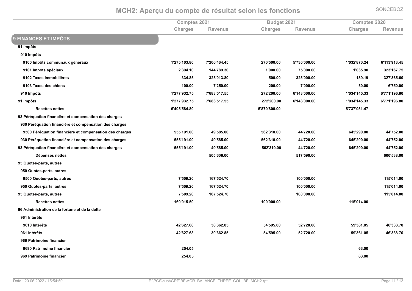|                                                         | <b>Comptes 2021</b> |                |                | Budget 2021    |                | <b>Comptes 2020</b> |  |
|---------------------------------------------------------|---------------------|----------------|----------------|----------------|----------------|---------------------|--|
|                                                         | Charges             | <b>Revenus</b> | <b>Charges</b> | <b>Revenus</b> | <b>Charges</b> | <b>Revenus</b>      |  |
| <b>9 FINANCES ET IMPÔTS</b>                             |                     |                |                |                |                |                     |  |
| 91 Impôts                                               |                     |                |                |                |                |                     |  |
| 910 Impôts                                              |                     |                |                |                |                |                     |  |
| 9100 Impôts communaux généraux                          | 1'275'103.80        | 7'206'464.45   | 270'500.00     | 5'736'000.00   | 1'032'870.24   | 6'113'913.45        |  |
| 9101 Impôts spéciaux                                    | 2'394.10            | 144'789.30     | 1'000.00       | 75'000.00      | 1'035.90       | 323'167.75          |  |
| 9102 Taxes immobilières                                 | 334.85              | 325'013.80     | 500.00         | 325'000.00     | 189.19         | 327'365.60          |  |
| 9103 Taxes des chiens                                   | 100.00              | 7'250.00       | 200.00         | 7'000.00       | 50.00          | 6'750.00            |  |
| 910 Impôts                                              | 1'277'932.75        | 7'683'517.55   | 272'200.00     | 6'143'000.00   | 1'034'145.33   | 6'771'196.80        |  |
| 91 Impôts                                               | 1'277'932.75        | 7'683'517.55   | 272'200.00     | 6'143'000.00   | 1'034'145.33   | 6'771'196.80        |  |
| <b>Recettes nettes</b>                                  | 6'405'584.80        |                | 5'870'800.00   |                | 5'737'051.47   |                     |  |
| 93 Péréquation financière et compensation des charges   |                     |                |                |                |                |                     |  |
| 930 Péréquation financière et compensation des charges  |                     |                |                |                |                |                     |  |
| 9300 Péréquation financière et compensation des charges | 555'191.00          | 49'585.00      | 562'310.00     | 44'720.00      | 645'290.00     | 44'752.00           |  |
| 930 Péréquation financière et compensation des charges  | 555'191.00          | 49'585.00      | 562'310.00     | 44'720.00      | 645'290.00     | 44'752.00           |  |
| 93 Péréquation financière et compensation des charges   | 555'191.00          | 49'585.00      | 562'310.00     | 44'720.00      | 645'290.00     | 44'752.00           |  |
| Dépenses nettes                                         |                     | 505'606.00     |                | 517'590.00     |                | 600'538.00          |  |
| 95 Quotes-parts, autres                                 |                     |                |                |                |                |                     |  |
| 950 Quotes-parts, autres                                |                     |                |                |                |                |                     |  |
| 9500 Quotes-parts, autres                               | 7'509.20            | 167'524.70     |                | 100'000.00     |                | 115'014.00          |  |
| 950 Quotes-parts, autres                                | 7'509.20            | 167'524.70     |                | 100'000.00     |                | 115'014.00          |  |
| 95 Quotes-parts, autres                                 | 7'509.20            | 167'524.70     |                | 100'000.00     |                | 115'014.00          |  |
| <b>Recettes nettes</b>                                  | 160'015.50          |                | 100'000.00     |                | 115'014.00     |                     |  |
| 96 Administration de la fortune et de la dette          |                     |                |                |                |                |                     |  |
| 961 Intérêts                                            |                     |                |                |                |                |                     |  |
| 9610 Intérêts                                           | 42'627.68           | 30'662.85      | 54'595.00      | 52'720.00      | 59'361.05      | 46'338.70           |  |
| 961 Intérêts                                            | 42'627.68           | 30'662.85      | 54'595.00      | 52'720.00      | 59'361.05      | 46'338.70           |  |
| 969 Patrimoine financier                                |                     |                |                |                |                |                     |  |
| 9690 Patrimoine financier                               | 254.05              |                |                |                | 63.00          |                     |  |
| 969 Patrimoine financier                                | 254.05              |                |                |                | 63.00          |                     |  |
|                                                         |                     |                |                |                |                |                     |  |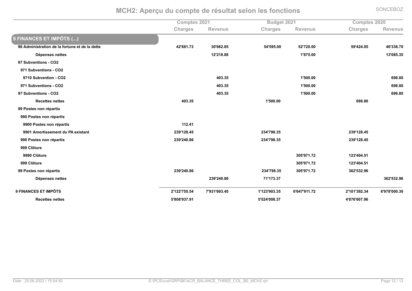|                                                |              | <b>Comptes 2021</b> |                | Budget 2021    |                | Comptes 2020   |  |
|------------------------------------------------|--------------|---------------------|----------------|----------------|----------------|----------------|--|
|                                                | Charges      | Revenus             | <b>Charges</b> | <b>Revenus</b> | <b>Charges</b> | <b>Revenus</b> |  |
| 9 FINANCES ET IMPÔTS ()                        |              |                     |                |                |                |                |  |
| 96 Administration de la fortune et de la dette | 42'881.73    | 30'662.85           | 54'595.00      | 52'720.00      | 59'424.05      | 46'338.70      |  |
| Dépenses nettes                                |              | 12'218.88           |                | 1'875.00       |                | 13'085.35      |  |
| 97 Subventions - CO2                           |              |                     |                |                |                |                |  |
| 971 Subventions - CO2                          |              |                     |                |                |                |                |  |
| 9710 Subvention - CO2                          |              | 403.35              |                | 1'500.00       |                | 698.80         |  |
| 971 Subventions - CO2                          |              | 403.35              |                | 1'500.00       |                | 698.80         |  |
| 97 Subventions - CO2                           |              | 403.35              |                | 1'500.00       |                | 698.80         |  |
| <b>Recettes nettes</b>                         | 403.35       |                     | 1'500.00       |                | 698.80         |                |  |
| 99 Postes non répartis                         |              |                     |                |                |                |                |  |
| 990 Postes non répartis                        |              |                     |                |                |                |                |  |
| 9900 Postes non répartis                       | 112.41       |                     |                |                |                |                |  |
| 9901 Amortissement du PA existant              | 239'128.45   |                     | 234'798.35     |                | 239'128.45     |                |  |
| 990 Postes non répartis                        | 239'240.86   |                     | 234'798.35     |                | 239'128.45     |                |  |
| 999 Clôture                                    |              |                     |                |                |                |                |  |
| 9990 Clôture                                   |              |                     |                | 305'971.72     | 123'404.51     |                |  |
| 999 Clôture                                    |              |                     |                | 305'971.72     | 123'404.51     |                |  |
| 99 Postes non répartis                         | 239'240.86   |                     | 234'798.35     | 305'971.72     | 362'532.96     |                |  |
| Dépenses nettes                                |              | 239'240.86          | 71'173.37      |                |                | 362'532.96     |  |
| 9 FINANCES ET IMPÔTS                           | 2'122'755.54 | 7'931'693.45        | 1'123'903.35   | 6'647'911.72   | 2'101'392.34   | 6'978'000.30   |  |
| <b>Recettes nettes</b>                         | 5'808'937.91 |                     | 5'524'008.37   |                | 4'876'607.96   |                |  |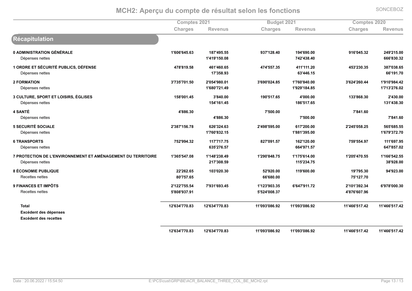**Comptes 2021** Term of the state of the state of the state of the state of the state of the state of the state of the state of the state of the state of the state of the state of the state of the state of the state of the state of the st  $Charles$ **k s Exercise Revenus Exercise Charges Revenus Exercise Charges Exercise Revenus Récapitulation** 0 ADMINISTRATION GÉNÉRALE **;JK:KJKRPMKL ;QNJROPMPP OLNJ;#QMR: ;ORJKO:M:: O;KJ:RPML# #ROJ#;PM::** Dépenses nettes **f** the contract of the contract of the contract of the contract of the contract of the contract of the contract of the contract of the contract of the contract of the contract of the contract of the contract of the contra **NR#JRLQMR: KKKJQL:ML#** *1 ORDRE ET SÉCURITÉ PUBLICS, DÉFENSE*  **RNQJQ;OMPQ RK;JRK:MKP RNRJPPNMLP R;;J;;;M#: RPLJ#L:MLP LQNJ:LQMKP** Dépenses nettes  $\sim$  **17'358.93 K K**<sub>2</sub> **K**<sub>3</sub> **K**<sub>3</sub> **K**<sub>3</sub> **K**<sub>3</sub> **K**<sub>3</sub> **K**<sub>3</sub> **K**<sub>3</sub> **C**<sub>3</sub> **K**<sub>3</sub> **C**<sub>3</sub> **C**<sub>3</sub> **C**<sub>3</sub> **C**<sub>3</sub> **C**<sub>3</sub> **C**<sub>3</sub> **C**<sub>3</sub> **C**<sub>3</sub> **C**<sub>3</sub> **C**<sub>3</sub> **C**<sub>3</sub> **C**<sub>3</sub> **C**<sub>3</sub> **C**<sub>3</sub> **C**<sub>3</sub> **C**<sub>3</sub> **C**<sub>3</sub> **C**<sub>3</sub> **C**<sub>3</sub> **C**<sub>3</sub> **C**<sub>3</sub> **2 FORMATION LJNLPJN:;MP: #J:PRJOQ:M:; LJKO:J:#RMQP ;JNK:JQR:M:: LJK#RJ#K:MRR ;JO;:JOQRMR#** Dépenses nettes **i**s the control of the control of the control of the control of the control of the control of the control of the control of the control of the control of the control of the control of the control of the control of the con **;JO#OJ;QRMQP ;JN;LJ#NKM:# 3 CULTURE, SPORT ET LOISIRS, ÉGLISES ;PQJ::;MRP LJQR:M:: ;O:JP;NMKP RJ:::M:: ;LLJQKQML: #JRL:M::** Dépenses nettes **i**s the contract of the contract of the contract of the contract of the contract of the contract of the contract of the contract of the contract of the contract of the contract of the contract of the contract of the contr **;QKJP;NMKP ;L;JRLQML:** *A SANTÉ*  **RJQQKML: NJP::M:: NJQR;MK:** Dépenses nettes  $\sim$  **R**  $\sim$  **R**  $\sim$  **R**  $\sim$  **R**  $\sim$  **R**  $\sim$  **R**  $\sim$  **R**  $\sim$  **R**  $\sim$  **886.30** 0 7'500.00 7'500.00 7'841.60 **5 SECURITÉ SOCIALE**  $2'387'156.78$  626'324.63  $2'498'595.00$  617'200.00  $2'45'058.25$  565'685.55 Dépenses nettes **i**s and the contract of the contract of the contract of the contract of the contract of the contract of the contract of the contract of the contract of the contract of the contract of the contract of the contract of the c **;JQQ;JLOPM:: ;JKNOJLN#MN: 6 TRANSPORTS**  $\textbf{X} = \begin{bmatrix} 2.884 & 5.216 & 2.816 \\ 7.52 & 994.32 & 117 \\ 7.71 & 7.75 & 82 \\ 82 & 7.59 & 162 \\ 10 & 1.57 & 162 \\ 1.67 & 1.697 & 1.816 \\ 1.67 & 1.697 & 1.816 \\ 1.67 & 1.697 & 1.816 \\ 1.67 & 1.697 & 1.816 \\ 1.67 & 1.697 & 1.816 \\ 1.69 & 1.697 & 1.816 \\ 1$ Dépenses nettes **K K KLP KLP KLP KLP KLP KLP KLP KLP KLP KLP KLP KLP KLP KLP KLP KLP KLP KLP KLP KLP KLP KLP KLP KLP KLP KLP KLP KLP KLP KLP KLP KLP KLP KLP KLP KL KKRJON;MPN KRNJQPNM:# N%V=DCH!C@DA%?H%GdHAa@=DAAH HAC%HC%& FA&EH HAC%?U%CH==@CD@=H ;JLKPJPRNM:Q ;J;RQJ#LQMRO ;J#O:JQRQMNP ;J;NPJK;RM:: ;J#:PJRN:MPP ;J;KKJPR#MPP** Dépenses nettes **#;NJL:QMPO ;;PJ#LRMNP LQJO#QM:: 8 ÉCONOMIE PUBLIQUE ##J#K#MKP ;:LJ:#:ML: P#JO#:M:: ;;OJK::M:: ;OJNOPML: ORJO#LM::** Recettes nettes  $\sim$  80'757.65 **K**  $66'680.00$  **175'127.70 9 FINANCES ET IMPÔTS #J;##JNPPMPR NJOL;JKOLMRP ;J;#LJO:LMLP KJKRNJO;;MN# #J;:;JLO#MLR KJONQJ:::ML:** Recettes nettes **PJQ:QJOLNMO;P** $5'524'008.37$  **P**  $4'876'607.96$ **Total %;#JKLRJNN:MQL %;#JKLRJNN:MQL %;;J:OLJ:QKMO# %;;J:OLJ:QKMO# %;;JRKKJP;NMR# %;;JRKKJP;NMR# Excédent des dépenses Excédent des recettes %;#JKLRJNN:MQL**3 12'634'770.83 11'093'086.92 11'093'086.92 11'466'517.42 11'466'517.42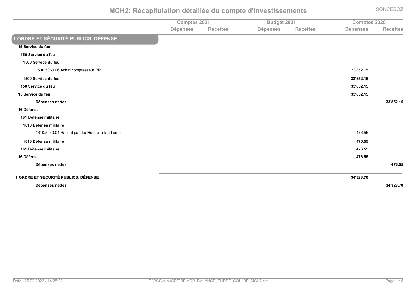Comptes 2021 Trim to the Budget 2021<br> **7-182, 1920 Exercefor Secure Secure Secure Secure Secure Secure Secure Secure Secure Secure Secure Secure Secure Secure Secure Secure Secure Secure Secure Secure Secure Secure Secure Secure Secure** Dépenses **&2(2,,26 ;'\*20626 &2(2,,26 ;'\*20626 &2(2,,26 ORDRE ET SÉCURITÉ PUBLICS, DÉFENSE 15 Service du feu** 150 Service du feu 1500 Service du feu 1500.5060.06 Achat compresseur PR  $\,$ R $\,$  33'852.15 1500 Service du feu u www.com/models/com/models/com/models/com/models/com/models/com/models/com/models/com/models/com/models/com/models/com/models/com/models/com/models/com/models/com/models/com/models/com/models/com/models/com/models/com/mod 150 Service du feu discovered a set of the set of the set of the set of the set of the set of the set of the set of the set of the set of the set of the set of the set of the set of the set of the set of the set of the set of the set of the 15 Service du feu  $\mu$  and the set of the set of the set of the set of the set of the set of the set of the set of the set of the set of the set of the set of the set of the set of the set of the set of the set of the set of the set of the **Dépenses nettes K** S A LIST  $\sim$  33'852.15

16 Défense

### **161 Défense militaire**

#### **1610 Défense militaire**

1610.5040.01 Rachat part La Heutte - stand de tir r and the contract of the contract of the contract of the contract of the contract of the contract of the contract of the contract of the contract of the contract of the contract of the contract of the contract of the con **1610 Défense militaire** e and the second of the second of the second of the second of the second of the second of the second of the second of the second of the second of the second of the second of the second of the second of the second of the se **161 Défense militaire** e and the set of the set of the set of the set of the set of the set of the set of the set of the set of the set of the set of the set of the set of the set of the set of the set of the set of the set of the set of the set 16 Défense e and the set of the set of the set of the set of the set of the set of the set of the set of the set of the set of the set of the set of the set of the set of the set of the set of the set of the set of the set of the set Dépenses nettes s and the contract of the contract of the contract of the contract of the contract of the contract of the contract of the contract of the contract of the contract of the contract of the contract of the contract of the cont

#### **1 ORDRE ET SÉCURITÉ PUBLICS, DÉFENSE E** and the contract of the contract of the contract of the contract of the contract of the contract of the contract of the contract of the contract of the contract of the contract of the contract of the contract of the co

**Dépenses nettes KO4K#LMP9**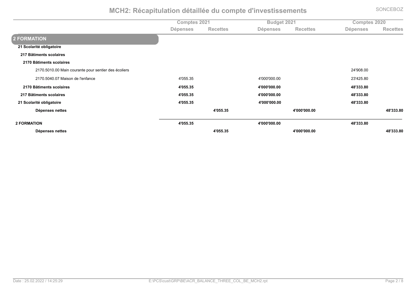|                                                      | <b>Comptes 2021</b> |                 | Budget 2021     |                 | Comptes 2020    |                 |
|------------------------------------------------------|---------------------|-----------------|-----------------|-----------------|-----------------|-----------------|
|                                                      | <b>Dépenses</b>     | <b>Recettes</b> | <b>Dépenses</b> | <b>Recettes</b> | <b>Dépenses</b> | <b>Recettes</b> |
| 2 FORMATION                                          |                     |                 |                 |                 |                 |                 |
| 21 Scolarité obligatoire                             |                     |                 |                 |                 |                 |                 |
| 217 Bâtiments scolaires                              |                     |                 |                 |                 |                 |                 |
| 2170 Bâtiments scolaires                             |                     |                 |                 |                 |                 |                 |
| 2170.5010.00 Main courante pour sentier des écoliers |                     |                 |                 |                 | 24'908.00       |                 |
| 2170.5040.07 Maison de l'enfance                     | 4'055.35            |                 | 4'000'000.00    |                 | 23'425.80       |                 |
| 2170 Bâtiments scolaires                             | 4'055.35            |                 | 4'000'000.00    |                 | 48'333.80       |                 |
| 217 Bâtiments scolaires                              | 4'055.35            |                 | 4'000'000.00    |                 | 48'333.80       |                 |
| 21 Scolarité obligatoire                             | 4'055.35            |                 | 4'000'000.00    |                 | 48'333.80       |                 |
| Dépenses nettes                                      |                     | 4'055.35        |                 | 4'000'000.00    |                 | 48'333.80       |
| <b>2 FORMATION</b>                                   | 4'055.35            |                 | 4'000'000.00    |                 | 48'333.80       |                 |
| Dépenses nettes                                      |                     | 4'055.35        |                 | 4'000'000.00    |                 | 48'333.80       |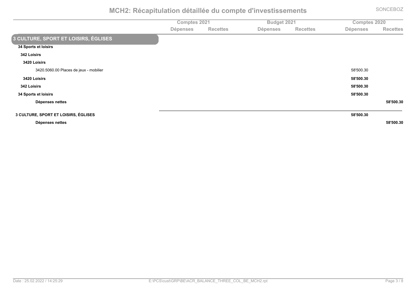|                                             | Comptes 2021    |                 | Budget 2021     |                 | Comptes 2020    |                 |
|---------------------------------------------|-----------------|-----------------|-----------------|-----------------|-----------------|-----------------|
|                                             | <b>Dépenses</b> | <b>Recettes</b> | <b>Dépenses</b> | <b>Recettes</b> | <b>Dépenses</b> | <b>Recettes</b> |
| <b>3 CULTURE, SPORT ET LOISIRS, ÉGLISES</b> |                 |                 |                 |                 |                 |                 |
| 34 Sports et loisirs                        |                 |                 |                 |                 |                 |                 |
| <b>342 Loisirs</b>                          |                 |                 |                 |                 |                 |                 |
| 3420 Loisirs                                |                 |                 |                 |                 |                 |                 |
| 3420.5060.00 Places de jeux - mobilier      |                 |                 |                 |                 | 58'500.30       |                 |
| 3420 Loisirs                                |                 |                 |                 |                 | 58'500.30       |                 |
| <b>342 Loisirs</b>                          |                 |                 |                 |                 | 58'500.30       |                 |
| 34 Sports et loisirs                        |                 |                 |                 |                 | 58'500.30       |                 |
| Dépenses nettes                             |                 |                 |                 |                 |                 | 58'500.30       |
| 3 CULTURE, SPORT ET LOISIRS, ÉGLISES        |                 |                 |                 |                 | 58'500.30       |                 |
| Dépenses nettes                             |                 |                 |                 |                 |                 | 58'500.30       |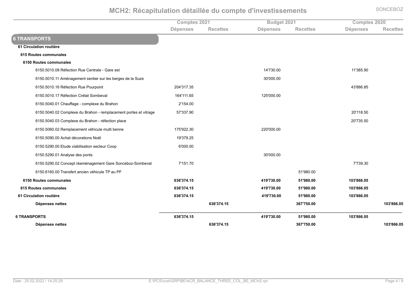|                                                                  | <b>Comptes 2021</b> |                 | Budget 2021     |                 | <b>Comptes 2020</b> |                 |
|------------------------------------------------------------------|---------------------|-----------------|-----------------|-----------------|---------------------|-----------------|
|                                                                  | <b>Dépenses</b>     | <b>Recettes</b> | <b>Dépenses</b> | <b>Recettes</b> | <b>Dépenses</b>     | <b>Recettes</b> |
| <b>6 TRANSPORTS</b>                                              |                     |                 |                 |                 |                     |                 |
| 61 Circulation routière                                          |                     |                 |                 |                 |                     |                 |
| 615 Routes communales                                            |                     |                 |                 |                 |                     |                 |
| 6150 Routes communales                                           |                     |                 |                 |                 |                     |                 |
| 6150.5010.08 Réfection Rue Centrale - Gare est                   |                     |                 | 14'730.00       |                 | 11'385.90           |                 |
| 6150.5010.11 Aménagement sentier sur les berges de la Suze       |                     |                 | 30'000.00       |                 |                     |                 |
| 6150.5010.16 Réfection Rue Pourpoint                             | 204'317.35          |                 |                 |                 | 43'886.85           |                 |
| 6150.5010.17 Réfection Crétat Sombeval                           | 164'111.65          |                 | 125'000.00      |                 |                     |                 |
| 6150.5040.01 Chauffage - complexe du Brahon                      | 2'154.00            |                 |                 |                 |                     |                 |
| 6150.5040.02 Complexe du Brahon - remplacement portes et vitrage | 57'337.90           |                 |                 |                 | 20'118.50           |                 |
| 6150.5040.03 Complexe du Brahon - réfection place                |                     |                 |                 |                 | 20'735.50           |                 |
| 6150.5060.02 Remplacement véhicule multi benne                   | 175'922.30          |                 | 220'000.00      |                 |                     |                 |
| 6150.5090.00 Achat décorations Noël                              | 19'379.25           |                 |                 |                 |                     |                 |
| 6150.5290.00 Etude viabilisation secteur Coop                    | 6'000.00            |                 |                 |                 |                     |                 |
| 6150.5290.01 Analyse des ponts                                   |                     |                 | 30'000.00       |                 |                     |                 |
| 6150.5290.02 Concept réaménagement Gare Sonceboz-Sombeval        | 7'151.70            |                 |                 |                 | 7'739.30            |                 |
| 6150.6160.00 Transfert ancien véhicule TP au PF                  |                     |                 |                 | 51'980.00       |                     |                 |
| 6150 Routes communales                                           | 636'374.15          |                 | 419'730.00      | 51'980.00       | 103'866.05          |                 |
| 615 Routes communales                                            | 636'374.15          |                 | 419'730.00      | 51'980.00       | 103'866.05          |                 |
| 61 Circulation routière                                          | 636'374.15          |                 | 419'730.00      | 51'980.00       | 103'866.05          |                 |
| Dépenses nettes                                                  |                     | 636'374.15      |                 | 367'750.00      |                     | 103'866.05      |
| <b>6 TRANSPORTS</b>                                              | 636'374.15          |                 | 419'730.00      | 51'980.00       | 103'866.05          |                 |
| Dépenses nettes                                                  |                     | 636'374.15      |                 | 367'750.00      |                     | 103'866.05      |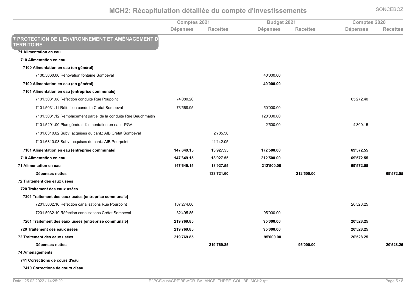**Comptes 2021** *<u>Budget 2021</u>* **Comptes 2020** Dépenses **&2(2,,26 ;'\*20626 &2(2,,26 ;'\*20626 &2(2,,26 7 PROTECTION DE L'ENVIRONNEMENT ET AMÉNAGEMENT D FERRITOIRE 71 Alimentation en eau 710 Alimentation en eau 7100 Alimentation en eau (en général)** 7100,5060,00 Rénovation fontaine Sombeval ,?)<)))\*))**7100 Alimentation en eau (en général)** with the contract of the contract of the contract of the contract of the contract of the contract of the contract of the contract of the contract of the contract of the contract of the contract of the contract of the contr **7101 Alimentation en eau [entreprise communale]** F'101.5031.08 Réfection conduite Rue Poupoint  $74'080.20$  65'272.40 F')'\*();'\*'',:PS6.1E2C,.2CD8E16,#5P101, 23V6X0Q ,F;<(+=\*R( ,()<)))\*)) 7101.5031.12 Remplacement partiel de la conduite Rue Beuchmaitin n 120'000.00 7101.5291.00 Plan général d'alimentation en eau - PGA ,><())\*)) ,?<;))\*'( 7101.6310.02 Subv. acquises du cant.: AIB Crétat Sombeval 2'785.50 7101.6310.03 Subv. acquises du cant.: AIB Pourpoint 11'142.05 **Propose 2.531.55 and Alimentation en eau [entreprise communale]**  $\bullet$  **<b>147'649.15 b 13'927.55 b 172'500.00 b 172'500.00 b 69'572.55 710 Alimentation en eau %:OP4NOVM:H %:K4V#PMHH %#:#4H99M99 %NV4HP#MHH 71 Alimentation en eau %:OP4NOVM:H %:K4V#PMHH %#:#4H99M99 %NV4HP#MHH Dépenses nettes** s 133'721.60 212'500.00 69'572.55 **72 Traitement des eaux usées 720 Traitement des eaux usées 7201 Traitement des eaux usées [entreprise communale]** FX01.5032.16 Refection canalisations Rue Pourpoint  $187'274.00$   $20'528.25$ For the S21495.85 T201.5032.19 Refection canalisations Crétat Sombeval and the control of the 32'495.85 T201.5032.19 Refection canalisations Crétat Sombeval **P#9:%>I)+,2320,%126%2)-]%-6'26%[20,I2\*I+62%(/33-0).2\ %#:V4PNVMLH %VH4999M99 %#94H#LM#H 720 Traitement des eaux usées %#:V4PNVMLH %VH4999M99 %#94H#LM#H 72 Traitement des eaux usées %#:V4PNVMLH %VH4999M99 %#94H#LM#H** Dépenses nettes  ${\bf s}$  **\***  ${\bf s}$   ${\bf s}$   ${\bf s}$   ${\bf s}$   ${\bf s}$   ${\bf s}$   ${\bf s}$   ${\bf s}$   ${\bf s}$   ${\bf s}$   ${\bf s}$   ${\bf s}$   ${\bf s}$   ${\bf s}$   ${\bf s}$   ${\bf s}$   ${\bf s}$   ${\bf s}$   ${\bf s}$   ${\bf s}$   ${\bf s}$   ${\bf s}$   ${\bf s}$   ${\bf s}$   ${\bf s}$   ${\bf s}$   ${\bf s}$   ${\bf s}$   ${\bf s}$   ${\bf s}$  **74 Aménagements 741 Corrections de cours d'eau 7410 Corrections de cours d'eau**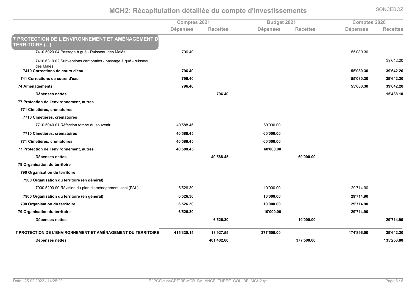Comptes 2021 *<u>Budget 2021</u>* **Comptes 2020** Dépenses **&2(2,,26 ;'\*20626 &2(2,,26 ;'\*20626 &2(2,,26 7 PROTECTION DE L'ENVIRONNEMENT ET AMÉNAGEMENT D FERRITOIRE (...)** France of the Structure of the Structure of the Structure of the Structure of the Structure of the Structure of the Structure of the Structure of the Structure of the Structure of the Structure of the Structure of the Stru 7410.6310.02 Subventions cantonales - passage à gué - ruisseau des Malés 7410 Corrections de cours d'eau 39'642.20 **89'642.20 89'642.20 89'642.20 741 Corrections de cours d'eau %PVNMO9 %HH49L9MK9 %KV4NO#M#9 74 Aménagements**  $\mathbf{S}$  **8**  $\mathbf{S}$   $\mathbf{S}^{0}$   $\mathbf{S}^{0}$   $\mathbf{S}^{0}$   $\mathbf{S}^{0}$   $\mathbf{S}^{0}$   $\mathbf{S}^{0}$   $\mathbf{S}^{0}$   $\mathbf{S}^{0}$   $\mathbf{S}^{0}$   $\mathbf{S}^{0}$   $\mathbf{S}^{0}$   $\mathbf{S}^{0}$   $\mathbf{S}^{0}$   $\mathbf{S}^{0}$   $\mathbf{S}^{0}$   $\mathbf{S}^{0}$   $\mathbf{S}^{$ **Dépenses nettes P**S to the contract of the contract of the contract of the contract of the contract of the contract of the contract of the contract of the contract of the contract of the contract of the contract of the contract of the co **77 Protection de l'environnement, autres 771 Cimetières, crématoires 7710 Cimetières, crématoires** 7710,5040,01 Réfection tombe du souvenir 40'588.45 60'000.00 **7710 Cimetières, crématoires %O94HLLMOH %N94999M99 771 Cimetières, crématoires %O94HLLMOH %N94999M99 77 Protection de l'environnement, autres %O94HLLMOH %N94999M99 Dépenses nettes S** 40'588.45 60'000.00 **79 Organisation du territoire 790 Organisation du territoire 7900 Organisation du territoire (en général)** FROO.5290.00 Révision du plan d'aménagement local (PAL)  $6'526.30$  (9714.90 7900 Organisation du territoire (en général)  $6'526.30$ **8 8 89'714.90 89'714.90 89'714.90 790 Organisation du territoire %N4H#NMK9 %:94999M99 %#V4P:OMV9 79 Organisation du territoire %N4H#NMK9 %:94999M99 %#V4P:OMV9 Dépenses nettes N4H#NMK9 :94999M99 #V4P:OMV9 7 PROTECTION DE L'ENVIRONNEMENT ET AMÉNAGEMENT DU TERRITOIRE %O:H4KK9M:H %:K4V#PMHH %KPP4H99M99 %:PO4LVNM99 %KV4NO#M#9** Dépenses nettes **o** and the contract of the contract of the contract of the contract of the contract of the contract of the contract of the contract of the contract of the contract of the contract of the contract of the contract of the co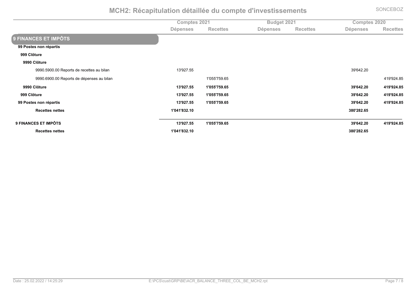Comptes 2021 The Comptes 2020 **11 Market 2021**<br> **7-182, 1920 Intervention Bene 1920**<br> **7-182, 1920 Intervention Bene 1920 Intervention Bene 1920 Intervention Bene 1920** Dépenses **&2(2,,26 ;'\*20626 &2(2,,26 ;'\*20626 &2(2,,26 9 FINANCES ET IMPÔTS 99 Postes non répartis** 999 Clôture 9990 Clôture 9990.5900.00 Reports de recettes au bilan n and the contract of the contract of the contract of the contract of the contract of the contract of the contract of the contract of the contract of the contract of the contract of the contract of the contract of the con 9990.6900.00 Reports de dépenses au bilan ,'<)((<F(R\*+( ,?'R<R>?\*=( 9990 Clôture **%:K4V#PMHH %:49HH4PHVMNH %KV4NO#M#9 %O:V4V#OMLH** 999 Clôture **%:K4V#PMHH %:49HH4PHVMNH %KV4NO#M#9 %O:V4V#OMLH 99 Postes non répartis %:K4V#PMHH %:49HH4PHVMNH %KV4NO#M#9 %O:V4V#OMLH Recettes nettes :49O:4LK#M:9 KL94#L#MNH 9 FINANCES ET IMPÔTS 8**  $\frac{39}{642.20}$  **419'924.85 Recettes nettes :49O:4LK#M:9 KL94#L#MNH**